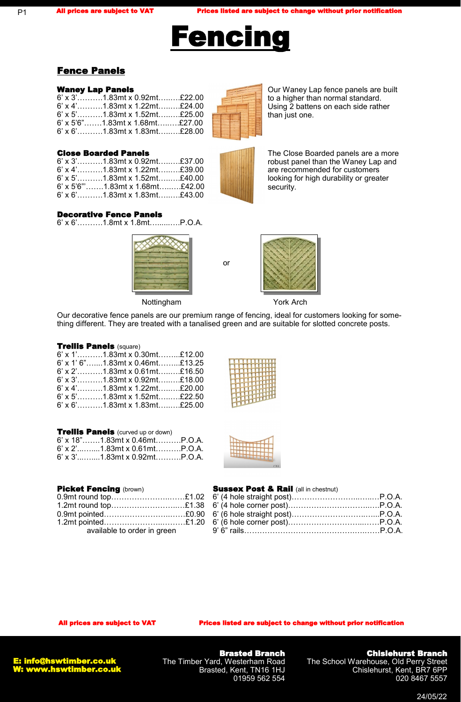

# Fence Panels

### Waney Lap Panels

| $6'$ x 3'1.83mt x 0.92mt£22.00    |  |
|-----------------------------------|--|
| $6'$ x 4'1.83mt x 1.22mt£24.00    |  |
| $6'$ x 5'1.83mt x 1.52mt£25.00    |  |
| $6'$ x 5'6"1.83mt x 1.68mt£27.00  |  |
| $6'$ x $6'$ 1.83mt x 1.83mt£28.00 |  |

### Close Boarded Panels

| $6'$ x 3'1.83mt x 0.92mt£37.00    |  |
|-----------------------------------|--|
| $6'$ x 4'1.83mt x 1.22mt£39.00    |  |
| $6'$ x 5'1.83mt x 1.52mt£40.00    |  |
| $6'$ x 5'6"1.83mt x 1.68mt£42.00  |  |
| $6'$ x $6'$ 1.83mt x 1.83mt£43.00 |  |

Our Waney Lap fence panels are built to a higher than normal standard. Using 2 battens on each side rather than just one.

The Close Boarded panels are a more robust panel than the Waney Lap and are recommended for customers looking for high durability or greater security.

#### Decorative Fence Panels

6' x 6'……….1.8mt x 1.8mt…......….P.O.A.



Nottingham

or



York Arch

Our decorative fence panels are our premium range of fencing, ideal for customers looking for something different. They are treated with a tanalised green and are suitable for slotted concrete posts.

#### Trellis Panels (square)

|  | $6'$ x 1'1.83mt x 0.30mt£12.00    |  |
|--|-----------------------------------|--|
|  | $6'$ x 1' 6"1.83mt x 0.46mt£13.25 |  |
|  | $6'$ x 2'1.83mt x 0.61mt£16.50    |  |
|  | $6'$ x 3'1.83mt x 0.92mt£18.00    |  |
|  | $6'$ x 4'1.83mt x 1.22mt£20.00    |  |
|  | $6'$ x 5'1.83mt x 1.52mt£22.50    |  |
|  | $6'$ x $6'$ 1.83mt x 1.83mt£25.00 |  |

|--|--|--|

*<u><u><b>A</u>* **A**<sup>1</sup></u>

| <b>Trellis Panels</b> (curved up or down) |  |
|-------------------------------------------|--|
| $6'$ x 18"1.83mt x 0.46mtP.O.A.           |  |
| 6' x 2'1.83mt x 0.61mtP.O.A.              |  |
| $6'$ x 3'1.83mt x 0.92mtP.O.A.            |  |

#### Picket Fencing (brown)

| 0.9mt round top£1.02        |  |
|-----------------------------|--|
| 1.2mt round top£1.38        |  |
| 0.9mt pointed£0.90          |  |
| 1.2mt pointed£1.20          |  |
| available to order in green |  |

#### **Sussex Post & Rail (all in chestnut)**

All prices are subject to VAT Prices listed are subject to change without prior notification



Brasted Branch The Timber Yard, Westerham Road Brasted, Kent, TN16 1HJ 01959 562 554

### Chislehurst Branch

The School Warehouse, Old Perry Street Chislehurst, Kent, BR7 6PP 020 8467 5557

24/05/22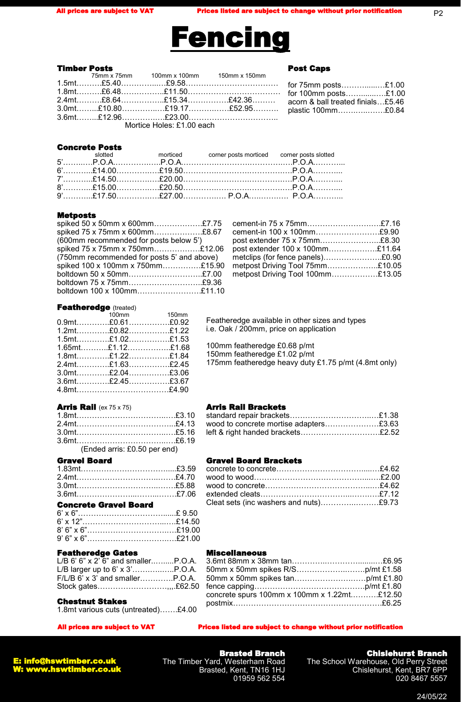Post Caps

for 75mm posts………......…£1.00 for 100mm posts…….......….£1.00 acorn & ball treated finials…£5.46 plastic 100mm…….…..…….£0.84

P2



#### Timber Posts

#### 75mm x 75mm 100mm x 100mm 150mm x 150mm 1.5mt……….£5.40…………...…£9.58……………………………… 1.8mt……….£6.48……………..£11.50……………………………… 2.4mt……….£8.64……………..£15.34…………….£42.36……… 3.0mt……...£10.80…………..…£19.17……….……£52.95………. 3.6mt……...£12.96………….….£23.00……………………………..

Mortice Holes: £1.00 each

#### Concrete Posts

#### Metposts

| spiked 50 x 50mm x 600mm£7.75              |  |
|--------------------------------------------|--|
| spiked 75 x 75mm x 600mm£8.67              |  |
| (600mm recommended for posts below 5')     |  |
| spiked 75 x 75mm x 750mm£12.06             |  |
| (750mm recommended for posts 5' and above) |  |
| spiked 100 x 100mm x 750mm£15.90           |  |
| boltdown 50 x 50mm£7.00                    |  |
| boltdown 75 x 75mm£9.36                    |  |
| boltdown 100 x 100mm£11.10                 |  |

| cement-in 75 x 75mm£7.16         |  |
|----------------------------------|--|
| cement-in 100 x 100mm£9.90       |  |
| post extender 75 x 75mm£8.30     |  |
| post extender 100 x 100mm£11.64  |  |
| metclips (for fence panels)£0.90 |  |
| metpost Driving Tool 75mm£10.05  |  |
| metpost Driving Tool 100mm£13.05 |  |
|                                  |  |

#### Featheredge (treated)

| 100mm 150mm         |  |
|---------------------|--|
| $0.9$ mt£0.61£0.92  |  |
| $1.2$ mt£0.82£1.22  |  |
| $1.5$ mt£1.02£1.53  |  |
| $1.65$ mt£1.12£1.68 |  |
| $1.8$ mt£1.22£1.84  |  |
| $2.4$ mt£1.63£2.45  |  |
| $3.0$ mt£2.04£3.06  |  |
| $3.6$ mt£2.45£3.67  |  |
|                     |  |

#### Arris Rail (ex 75 x 75)

| (Ended arris: £0.50 per end) |  |
|------------------------------|--|

#### Gravel Board

#### Concrete Gravel Board

#### Featheredge Gates

| $L/B$ 6' 6" x 2' 6" and smallerP.O.A. |  |
|---------------------------------------|--|
|                                       |  |
| $F/L/B$ 6' x 3' and smallerP.O.A.     |  |
|                                       |  |
|                                       |  |

#### Chestnut Stakes

1.8mt various cuts (untreated)…….£4.00

# Featheredge available in other sizes and types i.e. Oak / 200mm, price on application

100mm featheredge £0.68 p/mt 150mm featheredge £1.02 p/mt

175mm featheredge heavy duty £1.75 p/mt (4.8mt only)

#### Arris Rail Brackets

| wood to concrete mortise adapters£3.63 |  |
|----------------------------------------|--|
| left & right handed brackets£2.52      |  |

#### Gravel Board Brackets

| Cleat sets (inc washers and nuts)£9.73 |  |
|----------------------------------------|--|

#### Miscellaneous

| concrete spurs 100mm x 100mm x 1.22mt£12.50 |  |
|---------------------------------------------|--|
|                                             |  |

#### All prices are subject to VAT Prices listed are subject to change without prior notification



Brasted Branch The Timber Yard, Westerham Road Brasted, Kent, TN16 1HJ 01959 562 554

### Chislehurst Branch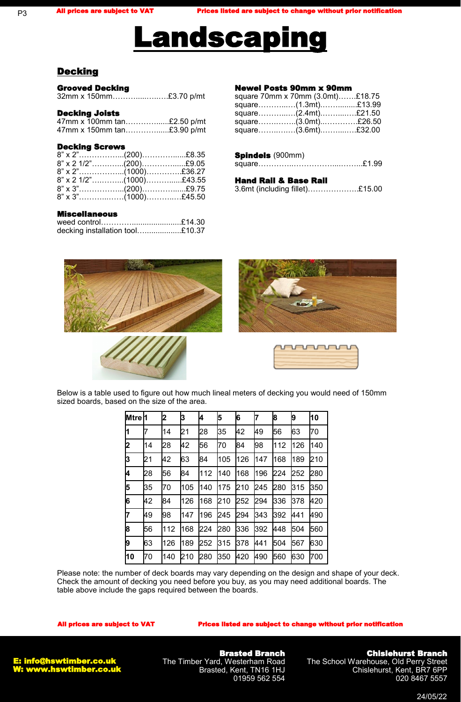# **Landscaping**

# **Decking**

P3

| <b>Grooved Decking</b> |  |
|------------------------|--|
| 32mm x 150mm£3.70 p/mt |  |

#### Decking Joists

|  | 47mm x 100mm tan£2.50 p/mt |
|--|----------------------------|
|  | 47mm x 150mm tan£3.90 p/mt |

#### Decking Screws

| $8"$ x 2 1/2"(200)£9.05<br>8" x 2 1/2"(1000)£43.55 |
|----------------------------------------------------|

#### Miscellaneous

| weed control£14.30              |  |
|---------------------------------|--|
| decking installation tool£10.37 |  |

#### Newel Posts 90mm x 90mm

| square 70mm x 70mm (3.0mt)£18.75 |  |
|----------------------------------|--|
| square(1.3mt)£13.99              |  |
| square(2.4mt)£21.50              |  |
| square(3.0mt)£26.50              |  |
| square(3.6mt)£32.00              |  |

#### Spindels (900mm)

|--|--|

#### Hand Rail & Base Rail

|  |  |  | 3.6mt (including fillet)£15.00 |  |
|--|--|--|--------------------------------|--|
|--|--|--|--------------------------------|--|



Below is a table used to figure out how much lineal meters of decking you would need of 150mm sized boards, based on the size of the area.

| Mtre <sup>1</sup> |    | 2   | 3   | 4   | 5   | 6   | 7   | 8   | 9   | 10  |
|-------------------|----|-----|-----|-----|-----|-----|-----|-----|-----|-----|
|                   | 7  | 14  | 21  | 28  | 35  | 42  | 49  | 56  | 63  | 70  |
| 2                 | 14 | 28  | 42  | 56  | 70  | 84  | 98  | 112 | 126 | 140 |
| 3                 | 21 | 42  | 63  | 84  | 105 | 126 | 147 | 168 | 189 | 210 |
| 4                 | 28 | 56  | 84  | 112 | 140 | 168 | 196 | 224 | 252 | 280 |
| 5                 | 35 | 70  | 105 | 140 | 175 | 210 | 245 | 280 | 315 | 350 |
| 6                 | 42 | 84  | 126 | 168 | 210 | 252 | 294 | 336 | 378 | 420 |
| 7                 | 49 | 98  | 147 | 196 | 245 | 294 | 343 | 392 | 441 | 490 |
| 8                 | 56 | 112 | 168 | 224 | 280 | 336 | 392 | 448 | 504 | 560 |
| 9                 | 63 | 126 | 189 | 252 | 315 | 378 | 441 | 504 | 567 | 630 |
| 10                | 70 | 140 | 210 | 280 | 350 | 420 | 490 | 560 | 630 | 700 |

Please note: the number of deck boards may vary depending on the design and shape of your deck. Check the amount of decking you need before you buy, as you may need additional boards. The table above include the gaps required between the boards.

#### All prices are subject to VAT Prices listed are subject to change without prior notification



Brasted Branch The Timber Yard, Westerham Road Brasted, Kent, TN16 1HJ 01959 562 554

# Chislehurst Branch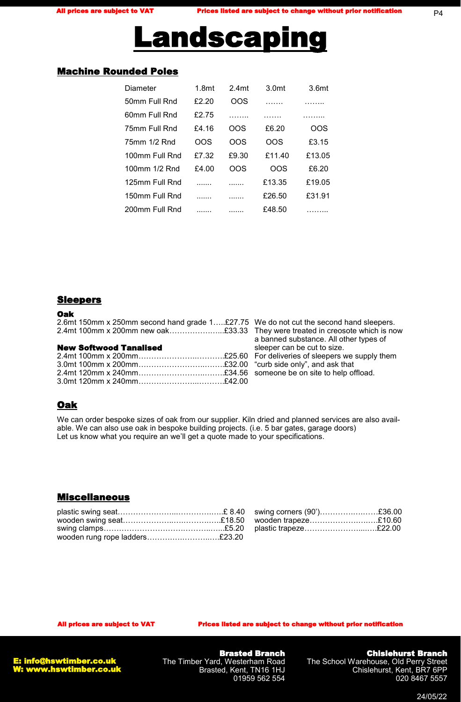

# Machine Rounded Poles

| Diameter       | 1.8 <sub>mt</sub> | 2.4 <sub>mt</sub> | 3.0 <sub>mt</sub> | 3.6 <sub>mt</sub> |
|----------------|-------------------|-------------------|-------------------|-------------------|
| 50mm Full Rnd  | £2.20             | OOS               | .                 |                   |
| 60mm Full Rnd  | £2.75             |                   |                   | .                 |
| 75mm Full Rnd  | £4.16             | ററട               | £6.20             | OOS               |
| 75mm 1/2 Rnd   | OOS               | OOS               | OOS               | £3.15             |
| 100mm Full Rnd | £7.32             | £9.30             | £11.40            | £13.05            |
| 100mm 1/2 Rnd  | £4.00             | ററട               | OOS               | £6.20             |
| 125mm Full Rnd |                   |                   | £13.35            | £19.05            |
| 150mm Full Rnd |                   |                   | £26.50            | £31.91            |
| 200mm Full Rnd |                   |                   | £48.50            |                   |

#### **Sleepers**

#### Oak

|  | 2.6mt 150mm x 250mm second hand grade 1£27.75 |  |
|--|-----------------------------------------------|--|
|  | 2.4mt 100mm x 200mm new oak£33.33             |  |

#### New Softwood Tanalised

We do not cut the second hand sleepers. They were treated in creosote which is now a banned substance. All other types of sleeper can be cut to size. For deliveries of sleepers we supply them "curb side only", and ask that someone be on site to help offload.

# Oak

We can order bespoke sizes of oak from our supplier. Kiln dried and planned services are also available. We can also use oak in bespoke building projects. (i.e. 5 bar gates, garage doors) Let us know what you require an we'll get a quote made to your specifications.

#### Miscellaneous

| wooden rung rope ladders£23.20 |  |  |
|--------------------------------|--|--|

All prices are subject to VAT Prices listed are subject to change without prior notification



Brasted Branch The Timber Yard, Westerham Road Brasted, Kent, TN16 1HJ 01959 562 554

# Chislehurst Branch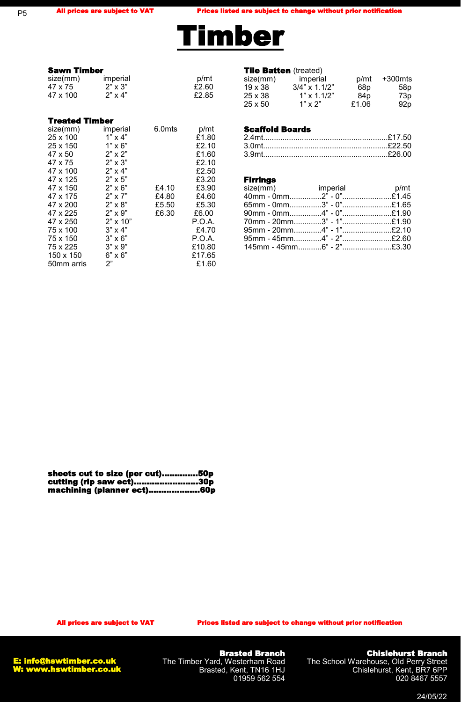P5

All prices are subject to VAT Prices listed are subject to change without prior notification



# **Sawn Timber**<br>size(mm) imperial size(mm) imperial  $p/mt$ <br>47 x 75  $2^n$  x 3"  $2 \times 3 \times 2 = 60$  $2^{\degree} \times 3^{\degree}$ <br>  $2^{\degree} \times 4^{\degree}$   $2.85$ 47 x 100 Treated Timber

| size(mm)   | imperial        | 6.0mts | p/mt   |
|------------|-----------------|--------|--------|
| 25 x 100   | $1" \times 4"$  |        | £1.80  |
| 25 x 150   | $1" \times 6"$  |        | £2.10  |
| 47 x 50    | $2" \times 2"$  |        | £1.60  |
| 47 x 75    | $2" \times 3"$  |        | £2.10  |
| 47 x 100   | $2" \times 4"$  |        | £2.50  |
| 47 x 125   | $2" \times 5"$  |        | £3.20  |
| 47 x 150   | $2" \times 6"$  | £4.10  | £3.90  |
| 47 x 175   | $2" \times 7"$  | £4.80  | £4.60  |
| 47 x 200   | $2" \times 8"$  | £5.50  | £5.30  |
| 47 x 225   | $2" \times 9"$  | £6.30  | £6.00  |
| 47 x 250   | $2" \times 10"$ |        | P.O.A. |
| 75 x 100   | $3" \times 4"$  |        | £4.70  |
| 75 x 150   | $3" \times 6"$  |        | P.O.A. |
| 75 x 225   | $3" \times 9"$  |        | £10.80 |
| 150 x 150  | $6" \times 6"$  |        | £17.65 |
| 50mm arris | 2"              |        | £1.60  |

#### **Tile Batten** (treated)

| -------------<br>size(mm) | imperial            | p/mt  | +300mts         |
|---------------------------|---------------------|-------|-----------------|
| $19 \times 38$            | $3/4$ " x $1.1/2$ " | 68p   | 58p             |
| 25 x 38                   | $1" \times 1.1/2"$  | 84p   | 73p             |
| $25 \times 50$            | $1" \times 2"$      | £1.06 | 92 <sub>p</sub> |

#### Scaffold Boards

#### Firrings

| size(mm) imperial p/mt     |  |
|----------------------------|--|
| 40mm - 0mm2" - 0"£1.45     |  |
| $65$ mm - 0mm3" - 0"£1.65  |  |
| $90$ mm - 0mm4" - 0"£1.90  |  |
| .70mm - 20mm3" - 1"£1.90   |  |
| 95mm - 20mm4" - 1"£2.10    |  |
| $95mm - 45mm$ 4" - 2"£2.60 |  |
|                            |  |

| sheets cut to size (per cut)50p |
|---------------------------------|
| cutting (rip saw ect)30p        |
| machining (planner ect)60p      |

Brasted Branch The Timber Yard, Westerham Road Brasted, Kent, TN16 1HJ 01959 562 554

Chislehurst Branch The School Warehouse, Old Perry Street Chislehurst, Kent, BR7 6PP

020 8467 5557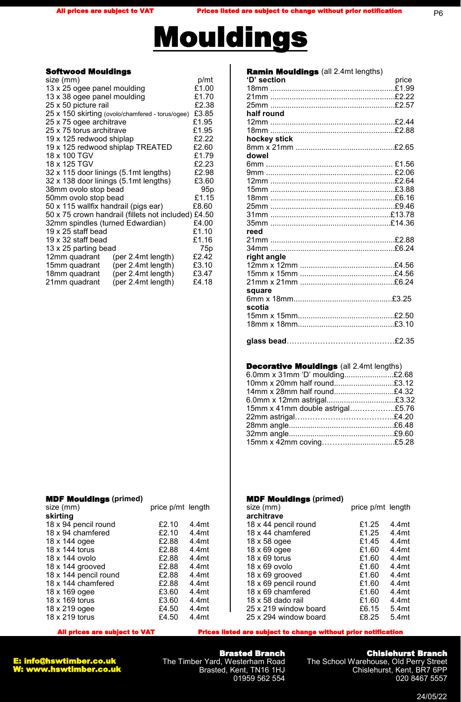P6



#### Softwood Mouldings

| size (mm)                            |                                                     | p/mt            |
|--------------------------------------|-----------------------------------------------------|-----------------|
| 13 x 25 ogee panel moulding          |                                                     | £1.00           |
| 13 x 38 ogee panel moulding          |                                                     | £1.70           |
| 25 x 50 picture rail                 |                                                     | £2.38           |
|                                      | 25 x 150 skirting (ovolo/chamfered - torus/ogee)    | £3.85           |
| 25 x 75 ogee architrave              |                                                     | £1.95           |
| 25 x 75 torus architrave             |                                                     | £1.95           |
| 19 x 125 redwood shiplap             |                                                     | £2.22           |
|                                      | 19 x 125 redwood shiplap TREATED                    | £2.60           |
| 18 x 100 TGV                         |                                                     | £1.79           |
| 18 x 125 TGV                         |                                                     | £2.23           |
|                                      | 32 x 115 door linings (5.1mt lengths)               | £2.98           |
|                                      | 32 x 138 door linings (5.1mt lengths)               | £3.60           |
| 38mm ovolo stop bead                 |                                                     | 95 <sub>p</sub> |
| 50mm ovolo stop bead                 |                                                     | £1.15           |
| 50 x 115 wallfix handrail (pigs ear) |                                                     | £8.60           |
|                                      | 50 x 75 crown handrail (fillets not included) £4.50 |                 |
| 32mm spindles (turned Edwardian)     |                                                     | £4.00           |
| 19 x 25 staff bead                   |                                                     | £1.10           |
| 19 x 32 staff bead                   |                                                     | £1.16           |
| 13 x 25 parting bead                 |                                                     | 75 <sub>p</sub> |
| 12mm quadrant                        | (per 2.4mt length)                                  | £2.42           |
| 15mm quadrant                        | (per 2.4mt length)                                  | £3.10           |
| 18mm quadrant                        | (per 2.4mt length)                                  | £3.47           |
| 21mm quadrant                        | (per 2.4mt length)                                  | £4.18           |
|                                      |                                                     |                 |

| <b>Ramin Mouldings</b> (all 2.4mt lengths) |       |
|--------------------------------------------|-------|
| 'D' section                                | price |
|                                            |       |
|                                            |       |
|                                            |       |
| half round                                 |       |
|                                            |       |
|                                            |       |
| hockey stick                               |       |
|                                            |       |
| dowel                                      |       |
|                                            |       |
|                                            |       |
|                                            |       |
|                                            |       |
|                                            |       |
|                                            |       |
|                                            |       |
|                                            |       |
| reed                                       |       |
|                                            |       |
|                                            |       |
| right angle                                |       |
|                                            |       |
|                                            |       |
|                                            |       |
| square                                     |       |
|                                            |       |
| scotia                                     |       |
|                                            |       |
|                                            |       |
|                                            |       |
|                                            |       |
|                                            |       |

#### Decorative Mouldings (all 2.4mt lengths)

| 6.0mm x 31mm 'D' moulding£2.68   |  |
|----------------------------------|--|
| 10mm x 20mm half round£3.12      |  |
| 14mm x 28mm half round£4.32      |  |
| 6.0mm x 12mm astrigal£3.32       |  |
| 15mm x 41mm double astrigal£5.76 |  |
|                                  |  |
|                                  |  |
|                                  |  |
|                                  |  |
|                                  |  |

size (mm) price p/mt length

#### MDF Mouldings **(primed)**

| size (mm)             | price p/mt length |       |
|-----------------------|-------------------|-------|
| skirting              |                   |       |
| 18 x 94 pencil round  | £2.10             | 4.4mt |
| 18 x 94 chamfered     | £2.10             | 4.4mt |
| 18 x 144 ogee         | £2.88             | 4.4mt |
| 18 x 144 torus        | £2.88             | 4.4mt |
| 18 x 144 ovolo        | £2.88             | 4.4mt |
| 18 x 144 grooved      | £2.88             | 4.4mt |
| 18 x 144 pencil round | £2.88             | 4.4mt |
| 18 x 144 chamfered    | £2.88             | 4.4mt |
| 18 x 169 ogee         | £3.60             | 4.4mt |
| 18 x 169 torus        | £3.60             | 4.4mt |
| 18 x 219 ogee         | £4.50             | 4.4mt |
| 18 x 219 torus        | £4.50             | 4.4mt |

| All prices are subject to VAT | <b>Prices listed are subject to change without prior notification</b> |
|-------------------------------|-----------------------------------------------------------------------|
|                               |                                                                       |

18 x 44 pencil round 18 x 44 chamfered 18 x 58 ogee 18 x 69 ogee 18 x 69 torus 18 x 69 ovolo 18 x 69 grooved 18 x 69 pencil round 18 x 69 chamfered 18 x 58 dado rail 25 x 219 window board 25 x 294 window board

**architrave**

MDF Mouldings **(primed)** 



Brasted Branch The Timber Yard, Westerham Road Brasted, Kent, TN16 1HJ 01959 562 554

### Chislehurst Branch

4.4mt 4.4mt 4.4mt 4.4mt 4.4mt 4.4mt 4.4mt 4.4mt 4.4mt 4.4mt 5.4mt 5.4mt

The School Warehouse, Old Perry Street Chislehurst, Kent, BR7 6PP 020 8467 5557

£1.25 £1.25 £1.45 £1.60 £1.60 £1.60 £1.60 £1.60 £1.60 £1.60 £6.15 £8.25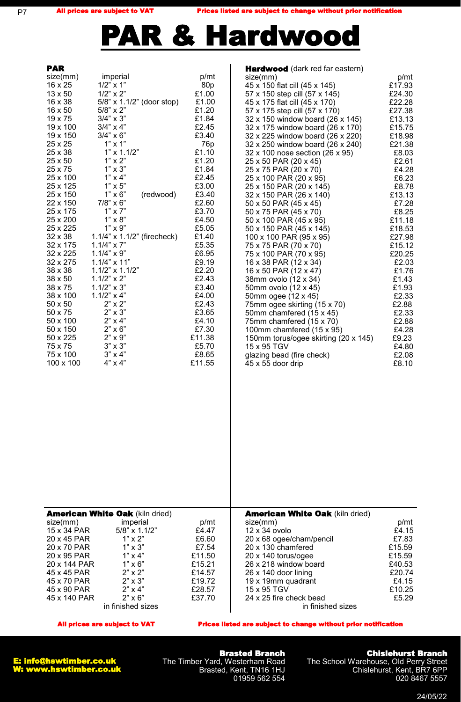P7

All prices are subject to VAT Prices listed are subject to change without prior notification



| <b>PAR</b><br>size(mm)      | imperial                                      | p/mt                     | <b>Hardwood</b> (dark red far eastern)<br>size(mm)                   | p/mt             |
|-----------------------------|-----------------------------------------------|--------------------------|----------------------------------------------------------------------|------------------|
| 16 x 25<br>13 x 50          | $1/2$ " x 1"<br>$1/2$ " x 2"                  | 80 <sub>p</sub><br>£1.00 | 45 x 150 flat cill (45 x 145)<br>57 x 150 step cill (57 x 145)       | £17.93<br>£24.30 |
| $16 \times 38$<br>16 x 50   | 5/8" x 1.1/2" (door stop)<br>$5/8$ " x 2"     | £1.00                    | 45 x 175 flat cill (45 x 170)                                        | £22.28           |
| 19 x 75                     | $3/4$ " x 3"                                  | £1.20<br>£1.84           | 57 x 175 step cill (57 x 170)<br>32 x 150 window board (26 x 145)    | £27.38<br>£13.13 |
| 19 x 100<br>19 x 150        | $3/4$ " x 4"<br>$3/4" \times 6"$              | £2.45<br>£3.40           | 32 x 175 window board (26 x 170)<br>32 x 225 window board (26 x 220) | £15.75<br>£18.98 |
| 25 x 25<br>25 x 38          | $1" \times 1"$<br>$1" \times 1.1/2"$          | 76 <sub>p</sub><br>£1.10 | 32 x 250 window board (26 x 240)<br>32 x 100 nose section (26 x 95)  | £21.38<br>£8.03  |
| 25 x 50<br>25 x 75          | $1" \times 2"$<br>$1" \times 3"$              | £1.20<br>£1.84           | 25 x 50 PAR (20 x 45)                                                | £2.61            |
| 25 x 100                    | $1" \times 4"$                                | £2.45                    | 25 x 75 PAR (20 x 70)<br>25 x 100 PAR (20 x 95)                      | £4.28<br>£6.23   |
| 25 x 125<br>25 x 150        | $1" \times 5"$<br>$1" \times 6"$<br>(redwood) | £3.00<br>£3.40           | 25 x 150 PAR (20 x 145)<br>32 x 150 PAR (26 x 140)                   | £8.78<br>£13.13  |
| 22 x 150<br>25 x 175        | $7/8$ " x 6"<br>$1" \times 7"$                | £2.60<br>£3.70           | 50 x 50 PAR (45 x 45)<br>50 x 75 PAR (45 x 70)                       | £7.28<br>£8.25   |
| 25 x 200<br>25 x 225        | $1" \times 8"$<br>$1" \times 9"$              | £4.50<br>£5.05           | 50 x 100 PAR (45 x 95)                                               | £11.18<br>£18.53 |
| $32 \times 38$              | $1.1/4$ " x $1.1/2$ " (firecheck)             | £1.40                    | 50 x 150 PAR (45 x 145)<br>100 x 100 PAR (95 x 95)                   | £27.98           |
| 32 x 175<br>32 x 225        | $1.1/4$ " x 7"<br>$1.1/4" \times 9"$          | £5.35<br>£6.95           | 75 x 75 PAR (70 x 70)<br>75 x 100 PAR (70 x 95)                      | £15.12<br>£20.25 |
| 32 x 275<br>38 x 38         | $1.1/4" \times 11"$<br>$1.1/2" \times 1.1/2"$ | £9.19<br>£2.20           | 16 x 38 PAR (12 x 34)<br>16 x 50 PAR (12 x 47)                       | £2.03<br>£1.76   |
| 38 x 50                     | $1.1/2" \times 2"$<br>$1.1/2" \times 3"$      | £2.43<br>£3.40           | 38mm ovolo (12 x 34)                                                 | £1.43            |
| 38 x 75<br>38 x 100         | $1.1/2" \times 4"$                            | £4.00                    | 50mm ovolo (12 x 45)<br>50mm ogee (12 x 45)                          | £1.93<br>£2.33   |
| 50 x 50<br>50 x 75          | $2" \times 2"$<br>$2" \times 3"$              | £2.43<br>£3.65           | 75mm ogee skirting (15 x 70)<br>50mm chamfered (15 x 45)             | £2.88<br>£2.33   |
| 50 x 100<br>50 x 150        | $2" \times 4"$<br>$2" \times 6"$              | £4.10<br>£7.30           | 75mm chamfered (15 x 70)<br>100mm chamfered (15 x 95)                | £2.88<br>£4.28   |
| 50 x 225<br>75 x 75         | $2" \times 9"$<br>$3" \times 3"$              | £11.38<br>£5.70          | 150mm torus/ogee skirting (20 x 145)<br>15 x 95 TGV                  | £9.23<br>£4.80   |
| 75 x 100                    | $3" \times 4"$                                | £8.65                    | glazing bead (fire check)                                            | £2.08            |
| 100 x 100                   | $4" \times 4"$                                | £11.55                   | 45 x 55 door drip                                                    | £8.10            |
|                             |                                               |                          |                                                                      |                  |
|                             |                                               |                          |                                                                      |                  |
|                             |                                               |                          |                                                                      |                  |
|                             |                                               |                          |                                                                      |                  |
|                             |                                               |                          |                                                                      |                  |
|                             |                                               |                          |                                                                      |                  |
|                             |                                               |                          |                                                                      |                  |
|                             |                                               |                          |                                                                      |                  |
|                             | <b>American White Oak (kiln dried)</b>        |                          | <b>American White Oak (kiln dried)</b>                               |                  |
| size(mm)                    | imperial                                      | p/mt                     | size(mm)                                                             | p/mt             |
| 15 x 34 PAR<br>20 x 45 PAR  | 5/8" x 1.1/2"<br>$1" \times 2"$               | £4.47<br>£6.60           | 12 x 34 ovolo<br>20 x 68 ogee/cham/pencil                            | £4.15<br>£7.83   |
| 20 x 70 PAR<br>20 x 95 PAR  | $1" \times 3"$<br>$1" \times 4"$              | £7.54<br>£11.50          | 20 x 130 chamfered<br>20 x 140 torus/ogee                            | £15.59<br>£15.59 |
| 20 x 144 PAR<br>45 x 45 PAR | $1" \times 6"$<br>$2" \times 2"$              | £15.21<br>£14.57         | 26 x 218 window board<br>26 x 140 door lining                        | £40.53<br>£20.74 |
| 45 x 70 PAR                 | $2" \times 3"$                                | £19.72                   | 19 x 19mm quadrant                                                   | £4.15            |
| 45 x 90 PAR<br>45 x 140 PAR | $2" \times 4"$<br>$2" \times 6"$              | £28.57<br>£37.70         | 15 x 95 TGV<br>24 x 25 fire check bead                               | £10.25<br>£5.29  |

in finished sizes

in finished sizes

All prices are subject to VAT Prices listed are subject to change without prior notification



Brasted Branch The Timber Yard, Westerham Road Brasted, Kent, TN16 1HJ 01959 562 554

 $\overline{\phantom{a}}$ 

#### Chislehurst Branch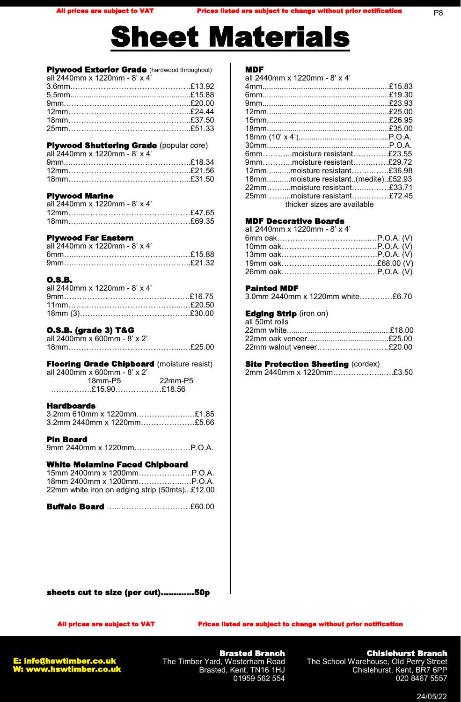# heet Materials

Plywood Exterior Grade (hardwood throughout) all 2440mm x 1220mm - 8' x 4' 3.6mm.……………………………………….£13.92 5.5mm........................................................£15.88 9mm.………………………………………....£20.00 12mm………………………………………...£24.44 18mm………………………………………...£37.50 25mm………………………………………...£51.33

#### **Plywood Shuttering Grade (popular core)**

| all 2440mm x 1220mm - 8' x 4' |  |
|-------------------------------|--|
|                               |  |
|                               |  |
|                               |  |

#### Plywood Marine

| all 2440mm x 1220mm - 8' x 4' |  |
|-------------------------------|--|
|                               |  |
|                               |  |

#### Plywood Far Eastern

| all 2440mm x 1220mm - 8' x 4' |  |
|-------------------------------|--|
|                               |  |
|                               |  |

#### O.S.B.

| all 2440mm x 1220mm - 8' x 4' |  |
|-------------------------------|--|
|                               |  |
|                               |  |
|                               |  |

#### O.S.B. (grade 3) T&G

| all 2400mm x 600mm - 8' x 2' |  |
|------------------------------|--|
|                              |  |

**Flooring Grade Chipboard** (moisture resist) all 2400mm x 600mm - 8' x 2' 18mm-P5 22mm-P5 …………….£15.90………………£18.56

#### Hardboards

| 3.2mm 610mm x 1220mm£1.85  |  |
|----------------------------|--|
| 3.2mm 2440mm x 1220mm£5.66 |  |

Pin Board 9mm 2440mm x 1220mm……….…………P.O.A.

#### White Melamine Faced Chipboard

| 18mm 2400mm x 1200mmP.O.A.                    |  |
|-----------------------------------------------|--|
| 22mm white iron on edging strip (50mts)£12.00 |  |

Buffalo Board …...………………………£60.00

#### MDF

| all 2440mm x 1220mm - 8' x 4'        |  |
|--------------------------------------|--|
|                                      |  |
|                                      |  |
|                                      |  |
|                                      |  |
|                                      |  |
|                                      |  |
|                                      |  |
|                                      |  |
| 6mmmoisture resistant£23.55          |  |
| 9mmmoisture resistant£29.72          |  |
| 12mmmoisture resistant£36.98         |  |
| 18mmmoisture resistant(medite)£52.93 |  |
| 22mmmoisture resistant£33.71         |  |
| 25mmmoisture resistant£72.45         |  |
| thicker sizes are available          |  |
|                                      |  |

#### MDF Decorative Boards

| all 2440mm x 1220mm - 8' x 4' |  |
|-------------------------------|--|
|                               |  |
|                               |  |
|                               |  |
|                               |  |
|                               |  |
|                               |  |

#### Painted MDF

| 3.0mm 2440mm x 1220mm white£6.70 |  |  |
|----------------------------------|--|--|
|----------------------------------|--|--|

#### Edging Strip (iron on)

| 22mm walnut veneer£20.00 |
|--------------------------|
|                          |

#### **Site Protection Sheeting (cordex)**

| 2mm 2440mm x 1220mm£3.50 |  |  |
|--------------------------|--|--|
|--------------------------|--|--|

sheets cut to size (per cut)………….50p

All prices are subject to VAT Prices listed are subject to change without prior notification



Brasted Branch The Timber Yard, Westerham Road Brasted, Kent, TN16 1HJ 01959 562 554

# Chislehurst Branch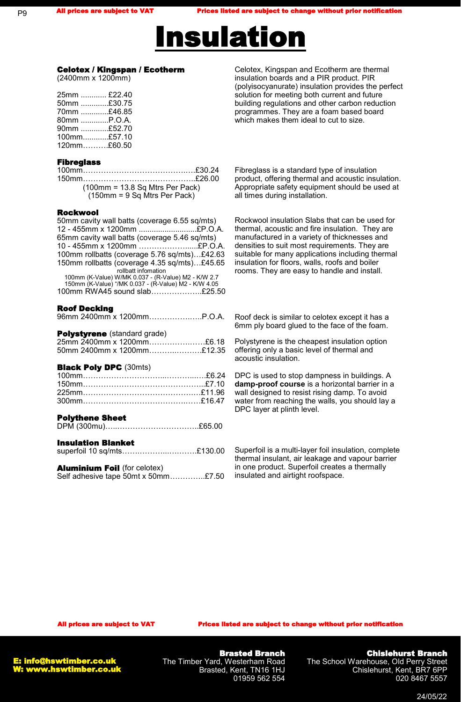

#### Celotex / Kingspan / Ecotherm

(2400mm x 1200mm)

| 25mm  £22.40   |  |
|----------------|--|
| 50mm £30.75    |  |
| 70mm £46.85    |  |
| 80mm P.O.A.    |  |
| 90mm £52.70    |  |
| $100$ mm£57.10 |  |
| $120$ mm£60.50 |  |

#### Fibreglass

| $(100 \text{mm} = 13.8 \text{ Sq Mtrs Per Pack})$     |
|-------------------------------------------------------|
| $(150 \text{mm} = 9 \text{Sq M} \text{trs Per Pack})$ |

#### Rockwool

| 50mm cavity wall batts (coverage 6.55 sq/mts)                       |  |
|---------------------------------------------------------------------|--|
| 12 - 455mm x 1200mm £P.O.A.                                         |  |
| 65mm cavity wall batts (coverage 5.46 sq/mts)                       |  |
| 10 - 455mm x 1200mm £P.O.A.                                         |  |
| 100mm rollbatts (coverage 5.76 sq/mts)£42.63                        |  |
| 150mm rollbatts (coverage 4.35 sq/mts)£45.65<br>rollbatt infomation |  |
| 100mm (K-Value) W/MK 0.037 - (R-Value) M2 - K/W 2.7                 |  |
| 150mm (K-Value) "/MK 0.037 - (R-Value) M2 - K/W 4.05                |  |
| 100mm RWA45 sound slab£25.50                                        |  |
|                                                                     |  |
| <b>Roof Decking</b>                                                 |  |
| 96mm 2400mm x 1200mmP.O.A.                                          |  |
|                                                                     |  |
| <b>Polystyrene</b> (standard grade)                                 |  |
| 25mm 2400mm x 1200mm£6.18                                           |  |
| 50mm 2400mm x 1200mm£12.35                                          |  |
|                                                                     |  |
| <b>Black Poly DPC (30mts)</b>                                       |  |
|                                                                     |  |
|                                                                     |  |
|                                                                     |  |
|                                                                     |  |
|                                                                     |  |

#### Polythene Sheet

|--|--|

#### Insulation Blanket

| Aluminium Eall (for opinion) |  |
|------------------------------|--|

| $\blacksquare$ |                                     |  |
|----------------|-------------------------------------|--|
|                | Self adhesive tape 50mt x 50mm£7.50 |  |

Celotex, Kingspan and Ecotherm are thermal insulation boards and a PIR product. PIR (polyisocyanurate) insulation provides the perfect solution for meeting both current and future building regulations and other carbon reduction programmes. They are a foam based board which makes them ideal to cut to size.

Fibreglass is a standard type of insulation product, offering thermal and acoustic insulation. Appropriate safety equipment should be used at all times during installation.

Rockwool insulation Slabs that can be used for thermal, acoustic and fire insulation. They are manufactured in a variety of thicknesses and densities to suit most requirements. They are suitable for many applications including thermal insulation for floors, walls, roofs and boiler rooms. They are easy to handle and install.

Roof deck is similar to celotex except it has a 6mm ply board glued to the face of the foam.

Polystyrene is the cheapest insulation option offering only a basic level of thermal and acoustic insulation.

DPC is used to stop dampness in buildings. A **damp-proof course** is a horizontal barrier in a wall designed to resist rising damp. To avoid water from reaching the walls, you should lay a DPC layer at plinth level.

Superfoil is a multi-layer foil insulation, complete thermal insulant, air leakage and vapour barrier in one product. Superfoil creates a thermally insulated and airtight roofspace.

**All prices is the subject to VAT Prices listed are subject to change without prior is notificate** 



Brasted Branch The Timber Yard, Westerham Road Brasted, Kent, TN16 1HJ 01959 562 554

# Chislehurst Branch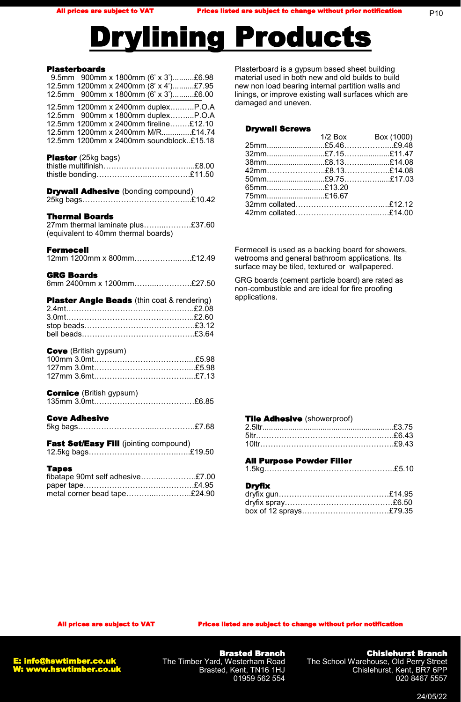# Drylining Products

### Plasterboards

| 9.5mm 900mm x 1800mm (6' x 3')£6.98<br>12.5mm 1200mm x 2400mm (8' x 4')£7.95<br>12.5mm 900mm x 1800mm (6' x 3')£6.00                                                                            |  |
|-------------------------------------------------------------------------------------------------------------------------------------------------------------------------------------------------|--|
| 12.5mm 1200mm x 2400mm duplexP.O.A<br>12.5mm 900mm x 1800mm duplexP.O.A<br>12.5mm 1200mm x 2400mm fireline£12.10<br>12.5mm 1200mm x 2400mm M/R£14.74<br>12.5mm 1200mm x 2400mm soundblock£15.18 |  |
| Plaster (25kg bags)                                                                                                                                                                             |  |
| <b>Drywall Adhesive</b> (bonding compound)                                                                                                                                                      |  |
| <b>Thermal Boards</b><br>27mm thermal laminate plus£37.60<br>(equivalent to 40mm thermal boards)                                                                                                |  |
| Fermecell<br>12mm 1200mm x 800mm£12.49                                                                                                                                                          |  |
| <b>GRG Boards</b><br>6mm 2400mm x 1200mm£27.50                                                                                                                                                  |  |
|                                                                                                                                                                                                 |  |
| <b>Plaster Angle Beads</b> (thin coat & rendering)                                                                                                                                              |  |
| <b>Cove</b> (British gypsum)                                                                                                                                                                    |  |
| <b>Cornice</b> (British gypsum)                                                                                                                                                                 |  |
| Cove Adhesive                                                                                                                                                                                   |  |
| Fast Set/Easy Fill (jointing compound)                                                                                                                                                          |  |

Plasterboard is a gypsum based sheet building material used in both new and old builds to build new non load bearing internal partition walls and linings, or improve existing wall surfaces which are damaged and uneven.

#### Drywall Screws

|            | $1/2$ Box Box (1000) |
|------------|----------------------|
|            |                      |
|            |                      |
|            |                      |
|            |                      |
|            |                      |
| 65mm£13.20 |                      |
| 75mm£16.67 |                      |
|            |                      |
|            |                      |
|            |                      |

Fermecell is used as a backing board for showers, wetrooms and general bathroom applications. Its surface may be tiled, textured or wallpapered.

GRG boards (cement particle board) are rated as non-combustible and are ideal for fire proofing applications.

#### **Tile Adhesive** (showerproof)

#### All Purpose Powder Filler

#### **Dryfix**

All prices are subject to VAT Prices listed are subject to change without prior notification

E: info@hswtimber.co.uk W: www.hswtimber.co.uk

Brasted Branch The Timber Yard, Westerham Road Brasted, Kent, TN16 1HJ 01959 562 554

# Chislehurst Branch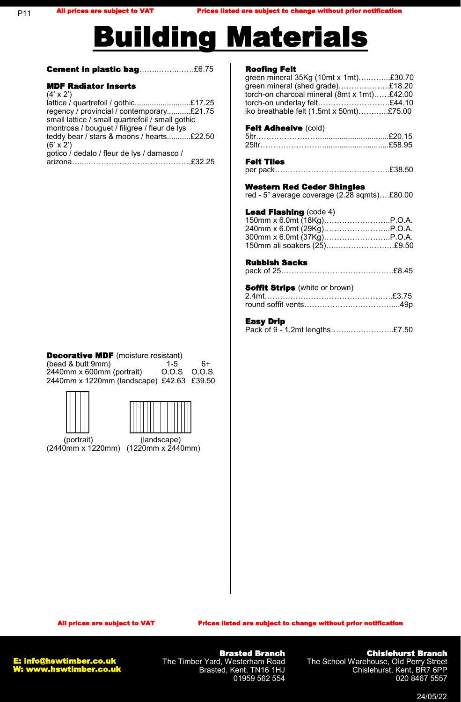

**Cement in plastic bag**.....................£6.75

#### MDF Radiator Inserts  $(4' \times 2')$

| (4 X Z J                                         |  |
|--------------------------------------------------|--|
| lattice / quartrefoil / gothic£17.25             |  |
| regency / provincial / contemporary£21.75        |  |
| small lattice / small quartrefoil / small gothic |  |
| montrosa / bouguet / filigree / fleur de lys     |  |
| teddy bear / stars & moons / hearts£22.50        |  |
| $(6' \times 2')$                                 |  |
| gotico / dedalo / fleur de lys / damasco /       |  |
|                                                  |  |

# **Decorative MDF** (moisture resistant)

| (bead & butt 9mm)                         | $1 - 5$      | հ+ |
|-------------------------------------------|--------------|----|
| 2440mm x 600mm (portrait)                 | 0.0.S 0.0.S. |    |
| 2440mm x 1220mm (landscape) £42.63 £39.50 |              |    |





 (portrait) (landscape) (2440mm x 1220mm) (1220mm x 2440mm)

### Roofing Felt

green mineral 35Kg (10mt x 1mt)….……...£30.70 green mineral (shed grade)………………..£18.20 torch-on charcoal mineral (8mt x 1mt)……£42.00 torch-on underlay felt……………………….£44.10 iko breathable felt (1.5mt x 50mt)………...£75.00

### Felt Adhesive (cold)

| 5ltr…………………………………………………£20.15 |  |
|-------------------------------|--|
|                               |  |

#### Felt Tiles

#### Western Red Ceder Shingles

red - 5" average coverage (2.28 sqmts)….£80.00

#### Lead Flashing (code 4)

| 150mm ali soakers (25)£9.50 |  |
|-----------------------------|--|

#### Rubbish Sacks

| <b>Soffit Strips</b> (white or brown) |  |
|---------------------------------------|--|
|                                       |  |
|                                       |  |

#### Easy Drip

| ----, ---- |                                |
|------------|--------------------------------|
|            | Pack of 9 - 1.2mt lengths£7.50 |

All prices are subject to VAT Prices listed are subject to change without prior notification



Brasted Branch The Timber Yard, Westerham Road Brasted, Kent, TN16 1HJ 01959 562 554

### Chislehurst Branch

The School Warehouse, Old Perry Street Chislehurst, Kent, BR7 6PP 020 8467 5557

24/05/22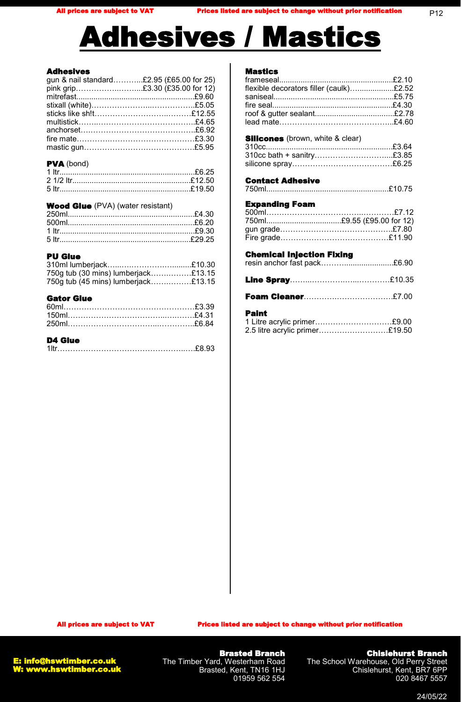#### Adhesives

| gun & nail standard£2.95 (£65.00 for 25) |  |
|------------------------------------------|--|
| pink grip£3.30 (£35.00 for 12)           |  |
|                                          |  |
|                                          |  |
|                                          |  |
|                                          |  |
|                                          |  |
|                                          |  |
|                                          |  |
|                                          |  |

#### PVA (bond)

### Wood Glue (PVA) (water resistant)

#### PU Glue

| 750g tub (30 mins) lumberjack£13.15 |  |
|-------------------------------------|--|
| 750g tub (45 mins) lumberjack£13.15 |  |

#### Gator Glue

# D4 Glue

# Mastics

| flexible decorators filler (caulk)£2.52                                                                |  |
|--------------------------------------------------------------------------------------------------------|--|
| <b>Silicones</b> (brown, white & clear)                                                                |  |
|                                                                                                        |  |
| 310cc bath + sanitry£3.85                                                                              |  |
|                                                                                                        |  |
| <b>Contact Adhesive</b>                                                                                |  |
|                                                                                                        |  |
|                                                                                                        |  |
| <b>Expanding Foam</b>                                                                                  |  |
| 750ml£9.55 (£95.00 for 12)                                                                             |  |
|                                                                                                        |  |
|                                                                                                        |  |
|                                                                                                        |  |
| <b>Chemical Injection Fixing</b><br><del>onomioar mjeotron rixing</del><br>resin anchor fast pack£6.90 |  |
|                                                                                                        |  |
|                                                                                                        |  |
| <b>Paint</b>                                                                                           |  |
| 1 Litre acrylic primer£9.00                                                                            |  |
| 2.5 litre acrylic primer£19.50                                                                         |  |
|                                                                                                        |  |

All prices are subject to VAT Prices listed are subject to change without prior notification

E: info@hswtimber.co.uk W: www.hswtimber.co.uk

Brasted Branch The Timber Yard, Westerham Road Brasted, Kent, TN16 1HJ 01959 562 554

### Chislehurst Branch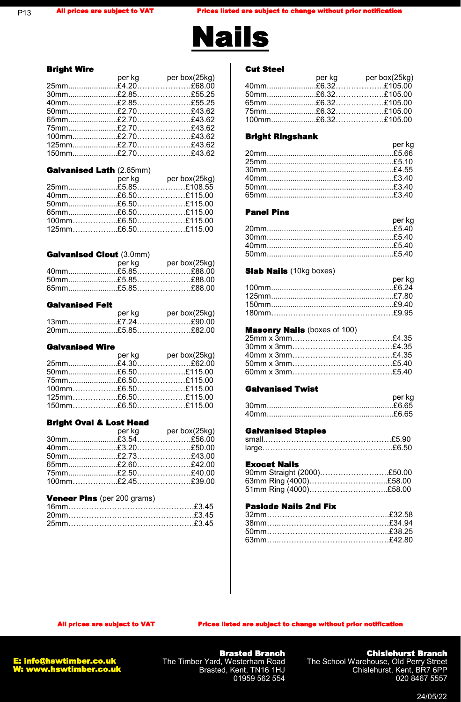

#### Bright Wire

|  | per kg ber box(25kg) |
|--|----------------------|
|  |                      |
|  |                      |
|  |                      |
|  |                      |
|  |                      |
|  |                      |
|  |                      |
|  |                      |
|  |                      |

#### Galvanised Lath (2.65mm)

|  | per kg per box(25kg) |
|--|----------------------|
|  |                      |
|  |                      |
|  |                      |
|  |                      |
|  |                      |
|  |                      |
|  |                      |

#### Galvanised Clout (3.0mm)

|  | per kg per box(25kg) |
|--|----------------------|
|  |                      |
|  |                      |
|  |                      |

#### Galvanised Felt

| per ka | per box(25kg) |
|--------|---------------|
|        |               |
|        |               |

#### Galvanised Wire

| per kg box(25kg) |
|------------------|
|                  |
|                  |
|                  |
|                  |
|                  |
|                  |
|                  |

#### Bright Oval & Lost Head

|  | per kg per box(25kg) |
|--|----------------------|
|  |                      |
|  |                      |
|  |                      |
|  |                      |
|  |                      |
|  |                      |

#### **Veneer Pins** (per 200 grams)

#### Cut Steel

#### Bright Ringshank

#### Panel Pins

| per kg |
|--------|
|        |
|        |
|        |
|        |

#### **Slab Nails** (10kg boxes)

| <b>DEING</b> |
|--------------|
|              |
|              |
|              |
|              |
|              |

#### **Masonry Nails (boxes of 100)**

#### Galvanised Twist

| ____________________ |        |
|----------------------|--------|
|                      | per ka |
|                      |        |
| 40mm.                | £6.65  |

#### Galvanised Staples

#### Exocet Nails

| 90mm Straight (2000)£50.00 |  |
|----------------------------|--|
|                            |  |
| 51mm Ring (4000)£58.00     |  |

#### Paslode Nails 2nd Fix

All prices are subject to VAT Prices listed are subject to change without prior notification



Brasted Branch The Timber Yard, Westerham Road Brasted, Kent, TN16 1HJ 01959 562 554

# Chislehurst Branch

per kg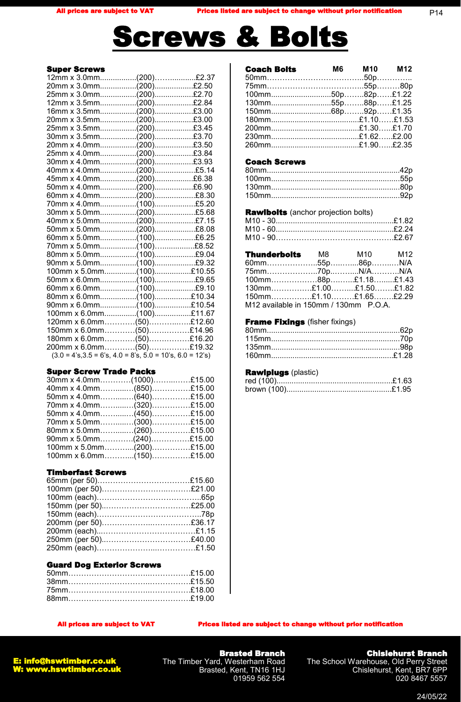

#### Super Screws

| 100mm x 5.0mm(100)£10.55<br>90mm x 6.0mm(100)£10.54<br>100mm x 6.0mm(100)£11.67<br>120mm x 6.0mm(50)£12.60<br>$150$ mm x 6.0mm(50)£14.96<br>180mm x 6.0mm(50)£16.20<br>200mm x 6.0mm(50)£19.32<br>$(3.0 = 4's, 3.5 = 6's, 4.0 = 8's, 5.0 = 10's, 6.0 = 12's)$ |
|---------------------------------------------------------------------------------------------------------------------------------------------------------------------------------------------------------------------------------------------------------------|

#### Super Screw Trade Packs

| 30mm x 4.0mm(1000)£15.00 |  |  |
|--------------------------|--|--|
| 40mm x 4.0mm(850)£15.00  |  |  |
| 50mm x 4.0mm(640)£15.00  |  |  |
| 70mm x 4.0mm(320)£15.00  |  |  |
| 50mm x 4.0mm(450)£15.00  |  |  |
| 70mm x 5.0mm(300)£15.00  |  |  |
| 80mm x 5.0mm(260)£15.00  |  |  |
| 90mm x 5.0mm(240)£15.00  |  |  |
| 100mm x 5.0mm(200)£15.00 |  |  |
| 100mm x 6.0mm(150)£15.00 |  |  |
|                          |  |  |

### Timberfast Screws

#### Guard Dog Exterior Screws

| <b>Coach Bolts</b> | M6 M10 M12 |  |
|--------------------|------------|--|
|                    |            |  |
|                    |            |  |
|                    |            |  |
|                    |            |  |
|                    |            |  |
|                    |            |  |
|                    |            |  |
|                    |            |  |
|                    |            |  |
|                    |            |  |

#### Coach Screws

#### **Rawlbolts** (anchor projection bolts)

| <b>Thunderbolts M8</b>                | M10 M12 |  |
|---------------------------------------|---------|--|
|                                       |         |  |
|                                       |         |  |
| 100mm88p£1.18£1.43                    |         |  |
| 130mm£1.00£1.50£1.82                  |         |  |
| $150$ mm£1.10£1.65£2.29               |         |  |
| M12 available in 150mm / 130mm P.O.A. |         |  |

### **Frame Fixings** (fisher fixings)

### Rawlplugs (plastic)

#### All prices are subject to VAT Prices listed are subject to change without prior notification



Brasted Branch The Timber Yard, Westerham Road Brasted, Kent, TN16 1HJ 01959 562 554

#### Chislehurst Branch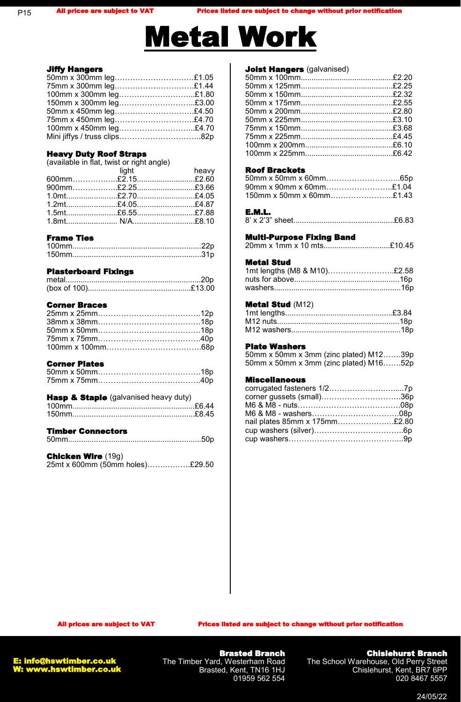

#### Jiffy Hangers

| 50mm x 300mm leg£1.05  |  |
|------------------------|--|
|                        |  |
| 75mm x 300mm leg£1.44  |  |
| 100mm x 300mm leg£1.80 |  |
| 150mm x 300mm leg£3.00 |  |
| 50mm x 450mm leg£4.50  |  |
| 75mm x 450mm leg£4.70  |  |
| 100mm x 450mm leg£4.70 |  |
|                        |  |

# Heavy Duty Roof Straps

(available in flat, twist or right angle)

| <b>a</b> light the beavy |  |
|--------------------------|--|
|                          |  |
|                          |  |
|                          |  |
|                          |  |
|                          |  |
|                          |  |
|                          |  |

# Frame Ties

# Plasterboard Fixings

# Corner Braces

# Corner Plates

# **Hasp & Staple** (galvanised heavy duty)

| . | . |
|---|---|
|   |   |

# Timber Connectors

|--|--|

# Chicken Wire (19g)

25mt x 600mm (50mm holes)…….……….£29.50

# **Joist Hangers** (galvanised)

# Roof Brackets

| $90$ mm x $90$ mm x $60$ mm£1.04 |  |
|----------------------------------|--|
| $150$ mm x 50mm x 60mm£1.43      |  |

# E.M.L.

|--|--|--|

# Multi-Purpose Fixing Band

|--|--|

# Metal Stud

| 1mt lengths (M8 & M10)£2.58 |  |
|-----------------------------|--|
|                             |  |
|                             |  |

#### Metal Stud (M12)

#### Plate Washers

50mm x 50mm x 3mm (zinc plated) M12…….39p 50mm x 50mm x 3mm (zinc plated) M16…….52p

#### Miscellaneous

| corner gussets (small)36p     |  |
|-------------------------------|--|
|                               |  |
|                               |  |
| nail plates 85mm x 175mm£2.80 |  |
|                               |  |
|                               |  |

All prices are subject to VAT Prices listed are subject to change without prior notification

Brasted Branch The Timber Yard, Westerham Road Brasted, Kent, TN16 1HJ 01959 562 554

# Chislehurst Branch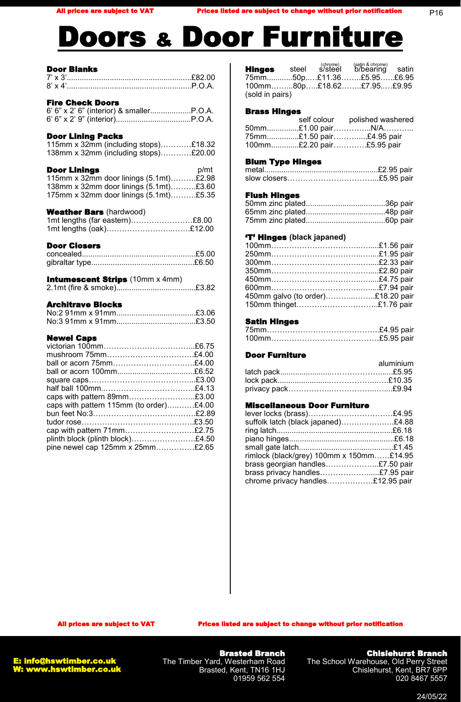# oors & Door Furniture

# Door Blanks

| <b>Fire Check Doors</b>                                                                                                                                                                  |      |
|------------------------------------------------------------------------------------------------------------------------------------------------------------------------------------------|------|
| <b>Door Lining Packs</b><br>115mm x 32mm (including stops)£18.32<br>138mm x 32mm (including stops)£20.00                                                                                 |      |
| <b>Door Linings</b><br>115mm x 32mm door linings (5.1mt)£2.98<br>138mm x 32mm door linings (5.1mt)£3.60<br>175mm x 32mm door linings (5.1mt)£5.35                                        | p/mt |
| <b>Weather Bars (hardwood)</b><br>1mt lengths (far eastern)£8.00<br>1mt lengths (oak)£12.00                                                                                              |      |
| <b>Door Closers</b>                                                                                                                                                                      |      |
| <b>Intumescent Strips</b> (10mm x 4mm)<br>2.1mt (fire & smoke)£3.82                                                                                                                      |      |
| <b>Architrave Blocks</b>                                                                                                                                                                 |      |
| <b>Newel Caps</b><br>ball or acorn 75mm£4.00<br>caps with pattern 89mm£3.00<br>caps with pattern 115mm (to order)£4.00<br>cap with pattern 71mm£2.75<br>plinth block (plinth block)£4.50 |      |
| pine newel cap 125mm x 25mm£2.65                                                                                                                                                         |      |

|                 |  | <b>Hinges</b> steel s/steel b/bearing satin |  |
|-----------------|--|---------------------------------------------|--|
|                 |  | 75mm50p£11.36£5.95£6.95                     |  |
|                 |  | 100mm80p£18.62£7.95£9.95                    |  |
| (sold in pairs) |  |                                             |  |

(chrome) (satin & chrome)

#### Brass Hinges

|  | self colour polished washered |
|--|-------------------------------|
|  |                               |
|  | 75mm£1.50 pair£4.95 pair      |
|  | 100mm£2.20 pair£5.95 pair     |

#### Blum Type Hinges

#### Flush Hinges

#### 'T' Hinges **(black japaned)**

| 450mm galvo (to order)£18.20 pair |  |
|-----------------------------------|--|
| 150mm thinget£1.76 pair           |  |
|                                   |  |

#### Satin Hinges

#### Door Furniture

| aluminium |
|-----------|
|           |
|           |
|           |

#### Miscellaneous Door Furniture

| lever locks (brass)£4.95                 |
|------------------------------------------|
| suffolk latch (black japaned)£4.88       |
|                                          |
|                                          |
|                                          |
| rimlock (black/grey) 100mm x 150mm£14.95 |
| brass georgian handles£7.50 pair         |
| brass privacy handles£7.95 pair          |
| chrome privacy handles£12.95 pair        |
|                                          |

All prices are subject to VAT Prices listed are subject to change without prior notification

E: info@hswtimber.co.uk W: www.hswtimber.co.uk

Brasted Branch The Timber Yard, Westerham Road Brasted, Kent, TN16 1HJ 01959 562 554

Chislehurst Branch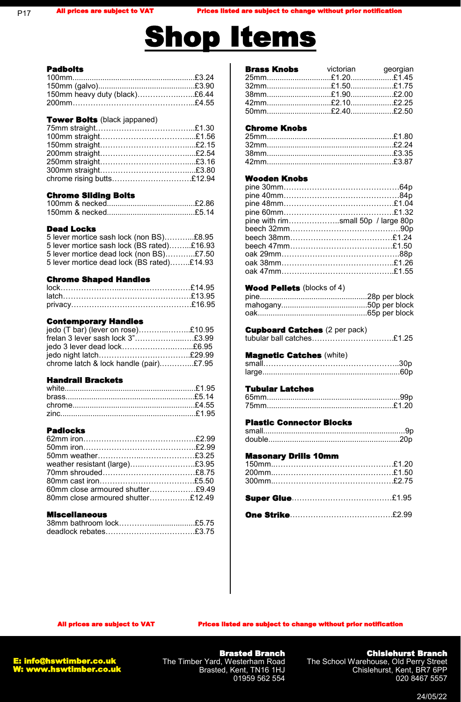# Shop Items

#### Padbolts

P17

| 150mm heavy duty (black)£6.44 |  |
|-------------------------------|--|
|                               |  |
|                               |  |

#### **Tower Bolts** (black jappaned)

| chrome rising butts£12.94 |  |
|---------------------------|--|
|                           |  |

#### Chrome Sliding Bolts

#### Dead Locks

|  |  | 5 lever mortice sash lock (non BS)£8.95    |  |
|--|--|--------------------------------------------|--|
|  |  | 5 lever mortice sash lock (BS rated)£16.93 |  |
|  |  | 5 lever mortice dead lock (non BS)£7.50    |  |
|  |  | 5 lever mortice dead lock (BS rated)£14.93 |  |

#### Chrome Shaped Handles

# Contemporary Handles

| jedo (T bar) (lever on rose)£10.95     |  |
|----------------------------------------|--|
| frelan 3 lever sash lock 3"£3.99       |  |
| jedo 3 lever dead lock£6.95            |  |
|                                        |  |
| chrome latch & lock handle (pair)£7.95 |  |

#### Handrail Brackets

#### Padlocks

| weather resistant (large)£3.95    |  |
|-----------------------------------|--|
|                                   |  |
|                                   |  |
| 60mm close armoured shutter£9.49  |  |
| 80mm close armoured shutter£12.49 |  |
|                                   |  |

#### Miscellaneous

| <b>Brass Knobs</b> victorian georgian |  |
|---------------------------------------|--|
|                                       |  |
|                                       |  |
|                                       |  |
|                                       |  |
|                                       |  |

#### Chrome Knobs

### Wooden Knobs

| pine with rimsmall 50p / large 80p |  |
|------------------------------------|--|
|                                    |  |
|                                    |  |
|                                    |  |
|                                    |  |
|                                    |  |
|                                    |  |

#### Wood Pellets (blocks of 4)

# **Cupboard Catches** (2 per pack)

| tubular ball catches£1.25 |  |
|---------------------------|--|
|                           |  |

#### Magnetic Catches (white)

### Tubular Latches

#### Plastic Connector Blocks

#### Masonary Drills 10mm

# One Strike………………………………….£2.99

All prices are subject to VAT Prices listed are subject to change without prior notification



Brasted Branch The Timber Yard, Westerham Road Brasted, Kent, TN16 1HJ 01959 562 554

# Chislehurst Branch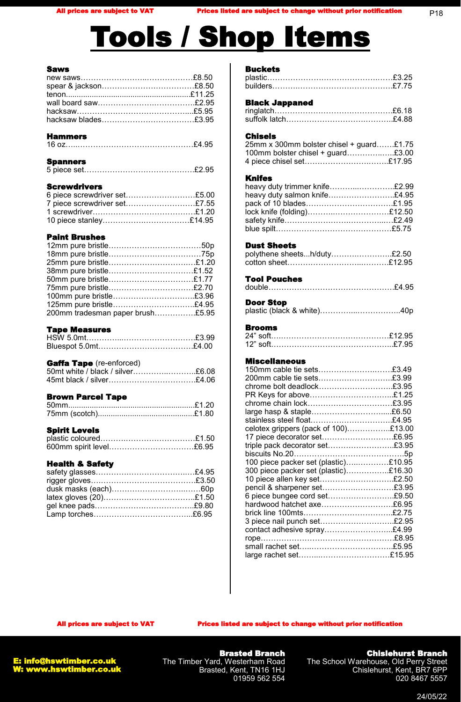# Tools / Shop Items

#### Saws

# Screwdrivers

| 6 piece screwdriver set£5.00 |  |
|------------------------------|--|
| 7 piece screwdriver set£7.55 |  |
|                              |  |
|                              |  |
|                              |  |

# Paint Brushes

| 50mm pure bristle£1.77           |
|----------------------------------|
| 75mm pure bristle£2.70           |
| 100mm pure bristle£3.96          |
| 125mm pure bristle£4.95          |
| 200mm tradesman paper brush£5.95 |
|                                  |

# Tape Measures

# Gaffa Tape (re-enforced)

| 50 mt white / black / silver£6.08 |  |
|-----------------------------------|--|
| 45mt black / silver£4.06          |  |

# Brown Parcel Tape

#### Spirit Levels

# Health & Safety

#### **Buckets**

#### Black Jappaned

#### Chisels

| 25mm x 300mm bolster chisel + guard£1.75 |  |
|------------------------------------------|--|
| 100mm bolster chisel + guard£3.00        |  |
| 4 piece chisel set£17.95                 |  |

#### Knifes

| heavy duty trimmer knife£2.99 |  |
|-------------------------------|--|
| heavy duty salmon knife£4.95  |  |
| pack of 10 blades£1.95        |  |
| lock knife (folding)£12.50    |  |
|                               |  |
|                               |  |

#### Dust Sheets

| polythene sheetsh/duty£2.50 |  |
|-----------------------------|--|
|                             |  |

#### Tool Pouches

# Door Stop

|--|--|--|--|--|--|--|

# Brooms

#### Miscellaneous

| 150mm cable tie sets£3.49            |  |
|--------------------------------------|--|
|                                      |  |
| chrome bolt deadlock£3.95            |  |
| PR Keys for above£1.25               |  |
| chrome chain lock£3.95               |  |
| large hasp & staple£6.50             |  |
| stainless steel float£4.95           |  |
| celotex grippers (pack of 100)£13.00 |  |
| 17 piece decorator set£6.95          |  |
| triple pack decorator set£3.95       |  |
|                                      |  |
| 100 piece packer set (plastic)£10.95 |  |
| 300 piece packer set (plastic)£16.30 |  |
| 10 piece allen key set£2.50          |  |
| pencil & sharpener set£3.95          |  |
| 6 piece bungee cord set£9.50         |  |
| hardwood hatchet axe£6.95            |  |
|                                      |  |
| 3 piece nail punch set£2.95          |  |
| contact adhesive spray£4.99          |  |
|                                      |  |
|                                      |  |
|                                      |  |
|                                      |  |

All prices are subject to VAT Prices listed are subject to change without prior notification



Brasted Branch The Timber Yard, Westerham Road Brasted, Kent, TN16 1HJ 01959 562 554

### Chislehurst Branch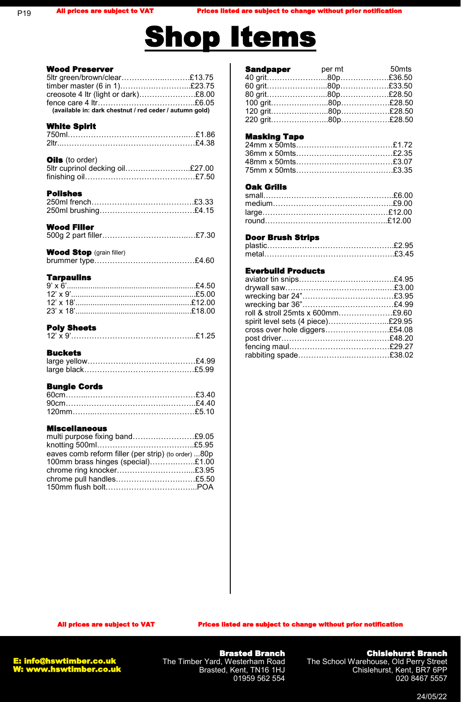# **Shop Items**

| <b>Wood Preserver</b><br>5ltr green/brown/clear£13.75<br>timber master (6 in 1)£23.75<br>creosote 4 ltr (light or dark)£8.00<br>(available in: dark chestnut / red ceder / autumn gold) |
|-----------------------------------------------------------------------------------------------------------------------------------------------------------------------------------------|
| <b>White Spirit</b>                                                                                                                                                                     |
| Oils (to order)<br>5ltr cuprinol decking oil£27.00                                                                                                                                      |
| <b>Polishes</b>                                                                                                                                                                         |
| <b>Wood Filler</b>                                                                                                                                                                      |
| <b>Wood Stop</b> (grain filler)                                                                                                                                                         |
| <b>Tarpaulins</b>                                                                                                                                                                       |
| <b>Poly Sheets</b>                                                                                                                                                                      |
| <b>Buckets</b>                                                                                                                                                                          |
| <b>Bungie Cords</b>                                                                                                                                                                     |
| <b>Miscellaneous</b><br>multi purpose fixing band£9.05<br>eaves comb reform filler (per strip) (to order) 80p<br>100mm brass hinges (special)£1.00<br>chrome pull handles£5.50          |

| <b>Sandpaper</b> | per mt | 50 <sub>mts</sub> |
|------------------|--------|-------------------|
|                  |        |                   |
|                  |        |                   |
|                  |        |                   |
|                  |        |                   |
|                  |        |                   |
|                  |        |                   |
|                  |        |                   |

#### Masking Tape

#### Oak Grills

#### Door Brush Strips

# Everbuild Products

| roll & stroll 25mts x 600mm£9.60  |  |
|-----------------------------------|--|
| spirit level sets (4 piece)£29.95 |  |
| cross over hole diggers£54.08     |  |
|                                   |  |
|                                   |  |
|                                   |  |
|                                   |  |

All prices are subject to VAT Prices listed are subject to change without prior notification

Brasted Branch The Timber Yard, Westerham Road Brasted, Kent, TN16 1HJ 01959 562 554

### Chislehurst Branch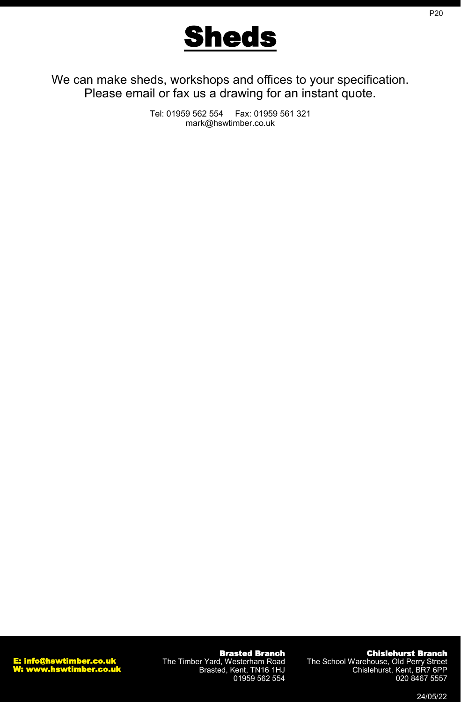

We can make sheds, workshops and offices to your specification. Please email or fax us a drawing for an instant quote.

> Tel: 01959 562 554 Fax: 01959 561 321 mark@hswtimber.co.uk

Brasted Branch The Timber Yard, Westerham Road Brasted, Kent, TN16 1HJ 01959 562 554

Chislehurst Branch The School Warehouse, Old Perry Street

Chislehurst, Kent, BR7 6PP

P20

24/05/22

020 8467 5557